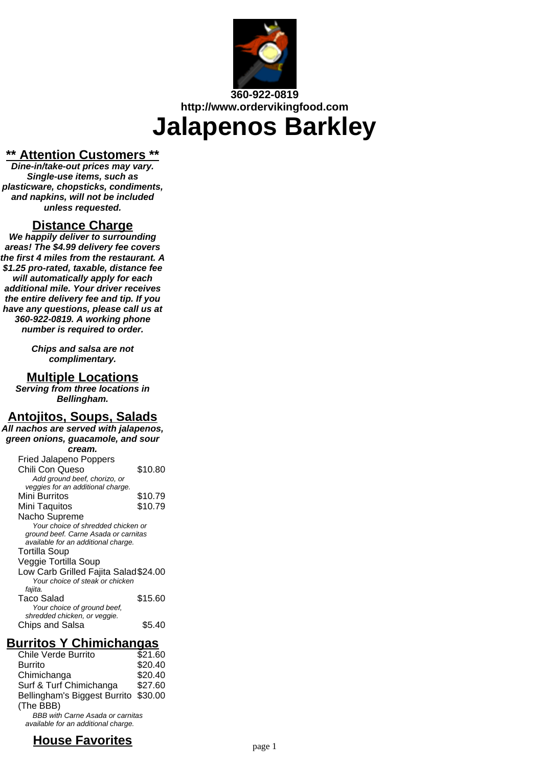

# **360-922-0819 http://www.ordervikingfood.com Jalapenos Barkley**

#### **\*\* Attention Customers \*\***

**Dine-in/take-out prices may vary. Single-use items, such as plasticware, chopsticks, condiments, and napkins, will not be included unless requested.**

#### **Distance Charge**

**We happily deliver to surrounding areas! The \$4.99 delivery fee covers the first 4 miles from the restaurant. A \$1.25 pro-rated, taxable, distance fee will automatically apply for each additional mile. Your driver receives the entire delivery fee and tip. If you have any questions, please call us at 360-922-0819. A working phone number is required to order.**

> **Chips and salsa are not complimentary.**

#### **Multiple Locations**

**Serving from three locations in Bellingham.**

# **Antojitos, Soups, Salads**

**All nachos are served with jalapenos, green onions, guacamole, and sour**

#### **cream.**

| <b>Fried Jalapeno Poppers</b>        |         |
|--------------------------------------|---------|
| Chili Con Queso                      | \$10.80 |
| Add ground beef, chorizo, or         |         |
| veggies for an additional charge.    |         |
| Mini Burritos                        | \$10.79 |
| Mini Taquitos                        | \$10.79 |
| Nacho Supreme                        |         |
| Your choice of shredded chicken or   |         |
| ground beef. Carne Asada or carnitas |         |
| available for an additional charge.  |         |
| Tortilla Soup                        |         |
| Veggie Tortilla Soup                 |         |
| Low Carb Grilled Fajita Salad\$24.00 |         |
| Your choice of steak or chicken      |         |
| fajita.                              |         |
| Taco Salad                           | \$15.60 |
| Your choice of ground beef,          |         |
| shredded chicken, or veggie.         |         |
| Chips and Salsa                      | S5.40   |
|                                      |         |

### **Burritos Y Chimichangas**

| Chile Verde Burrito                     | $\bar$ \$21.60 |
|-----------------------------------------|----------------|
| <b>Burrito</b>                          | \$20.40        |
| Chimichanga                             | \$20.40        |
| Surf & Turf Chimichanga                 | \$27.60        |
| Bellingham's Biggest Burrito \$30.00    |                |
| (The BBB)                               |                |
| <b>BBB with Carne Asada or carnitas</b> |                |
| available for an additional charge.     |                |

# **House Favorites Faxt Page 1 Page 1**